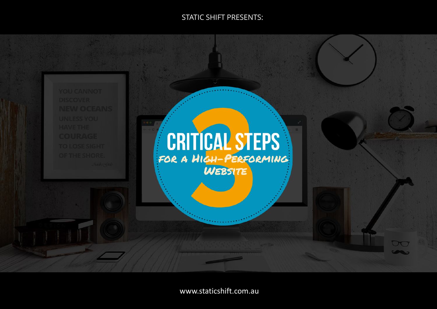### STATIC SHIFT PRESENTS:

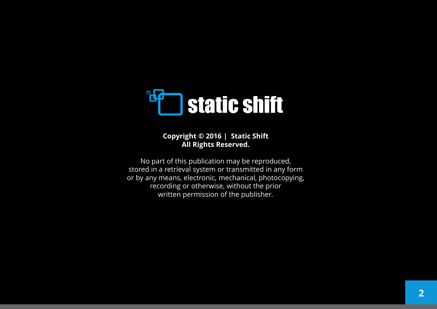

### **Copyright © 2016 | Static Shift All Rights Reserved.**

No part of this publication may be reproduced, stored in a retrieval system or transmitted in any form or by any means, electronic, mechanical, photocopying, recording or otherwise, without the prior written permission of the publisher.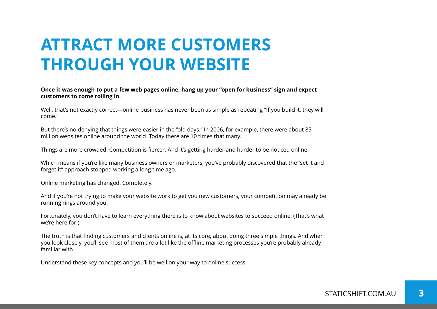# **ATTRACT MORE CUSTOMERS THROUGH YOUR WEBSITE**

#### **Once it was enough to put a few web pages online, hang up your "open for business" sign and expect customers to come rolling in.**

Well, that's not exactly correct—online business has never been as simple as repeating "If you build it, they will come."

But there's no denying that things were easier in the "old days." In 2006, for example, there were about 85 million websites online around the world. Today there are 10 times that many.

Things are more crowded. Competition is fiercer. And it's getting harder and harder to be noticed online.

Which means if you're like many business owners or marketers, you've probably discovered that the "set it and forget it" approach stopped working a long time ago.

Online marketing has changed. Completely.

And if you're not trying to make your website work to get you new customers, your competition may already be running rings around you.

Fortunately, you don't have to learn everything there is to know about websites to succeed online. (That's what we're here for.)

The truth is that finding customers and clients online is, at its core, about doing three simple things. And when you look closely, you'll see most of them are a lot like the offline marketing processes you're probably already familiar with.

Understand these key concepts and you'll be well on your way to online success.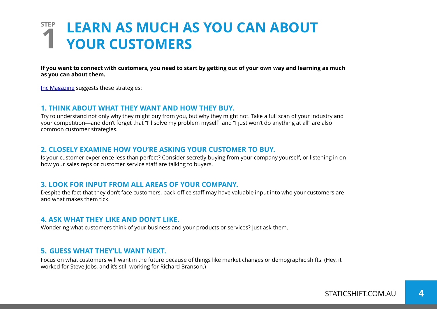### **STEP LEARN AS MUCH AS YOU CAN ABOUT 1 YOUR CUSTOMERS**

**If you want to connect with customers, you need to start by getting out of your own way and learning as much as you can about them.**

Inc [Magazine](http://www.inc.com/paul-schoemaker/5-ways-to-know-what-your-customer-wants.html) suggests these strategies:

#### **1. THINK ABOUT WHAT THEY WANT AND HOW THEY BUY.**

Try to understand not only why they might buy from you, but why they might not. Take a full scan of your industry and your competition—and don't forget that "I'll solve my problem myself" and "I just won't do anything at all" are also common customer strategies.

#### **2. CLOSELY EXAMINE HOW YOU'RE ASKING YOUR CUSTOMER TO BUY.**

Is your customer experience less than perfect? Consider secretly buying from your company yourself, or listening in on how your sales reps or customer service staff are talking to buyers.

#### **3. LOOK FOR INPUT FROM ALL AREAS OF YOUR COMPANY.**

Despite the fact that they don't face customers, back-office staff may have valuable input into who your customers are and what makes them tick.

#### **4. ASK WHAT THEY LIKE AND DON'T LIKE.**

Wondering what customers think of your business and your products or services? Just ask them.

#### **5. GUESS WHAT THEY'LL WANT NEXT.**

Focus on what customers will want in the future because of things like market changes or demographic shifts. (Hey, it worked for Steve Jobs, and it's still working for Richard Branson.)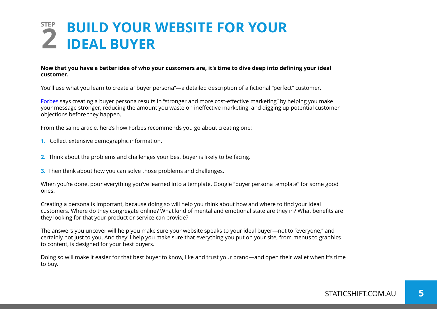## **STEP BUILD YOUR WEBSITE FOR YOUR 2 IDEAL BUYER**

#### **Now that you have a better idea of who your customers are, it's time to dive deep into defining your ideal customer.**

You'll use what you learn to create a "buyer persona"—a detailed description of a fictional "perfect" customer.

[Forbes](http://www.forbes.com/sites/theyec/2014/10/28/how-to-develop-your-buyer-persona-and-reel-in-better-customers/) says creating a buyer persona results in "stronger and more cost-effective marketing" by helping you make your message stronger, reducing the amount you waste on ineffective marketing, and digging up potential customer objections before they happen.

From the same article, here's how Forbes recommends you go about creating one:

- **1**. Collect extensive demographic information.
- **2**. Think about the problems and challenges your best buyer is likely to be facing.
- **3.** Then think about how you can solve those problems and challenges.

When you're done, pour everything you've learned into a template. Google "buyer persona template" for some good ones.

Creating a persona is important, because doing so will help you think about how and where to find your ideal customers. Where do they congregate online? What kind of mental and emotional state are they in? What benefits are they looking for that your product or service can provide?

The answers you uncover will help you make sure your website speaks to your ideal buyer—not to "everyone," and certainly not just to you. And they'll help you make sure that everything you put on your site, from menus to graphics to content, is designed for your best buyers.

Doing so will make it easier for that best buyer to know, like and trust your brand—and open their wallet when it's time to buy.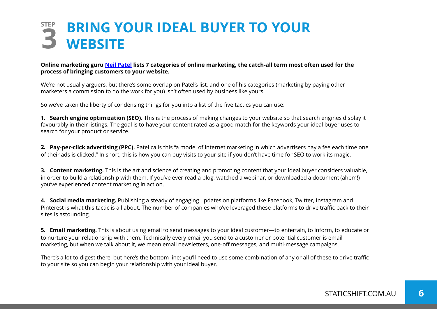## **STEP BRING YOUR IDEAL BUYER TO YOUR 3 WEBSITE**

#### **Online marketing guru [Neil Patel](http://neilpatel.com/what-is-digital-marketing/) lists 7 categories of online marketing, the catch-all term most often used for the process of bringing customers to your website.**

We're not usually arguers, but there's some overlap on Patel's list, and one of his categories (marketing by paying other marketers a commission to do the work for you) isn't often used by business like yours.

So we've taken the liberty of condensing things for you into a list of the five tactics you can use:

**1. Search engine optimization (SEO).** This is the process of making changes to your website so that search engines display it favourably in their listings. The goal is to have your content rated as a good match for the keywords your ideal buyer uses to search for your product or service.

**2. Pay-per-click advertising (PPC).** Patel calls this "a model of internet marketing in which advertisers pay a fee each time one of their ads is clicked." In short, this is how you can buy visits to your site if you don't have time for SEO to work its magic.

**3. Content marketing.** This is the art and science of creating and promoting content that your ideal buyer considers valuable, in order to build a relationship with them. If you've ever read a blog, watched a webinar, or downloaded a document (ahem!) you've experienced content marketing in action.

**4. Social media marketing.** Publishing a steady of engaging updates on platforms like Facebook, Twitter, Instagram and Pinterest is what this tactic is all about. The number of companies who've leveraged these platforms to drive traffic back to their sites is astounding.

**5. Email marketing.** This is about using email to send messages to your ideal customer—to entertain, to inform, to educate or to nurture your relationship with them. Technically every email you send to a customer or potential customer is email marketing, but when we talk about it, we mean email newsletters, one-off messages, and multi-message campaigns.

There's a lot to digest there, but here's the bottom line: you'll need to use some combination of any or all of these to drive traffic to your site so you can begin your relationship with your ideal buyer.